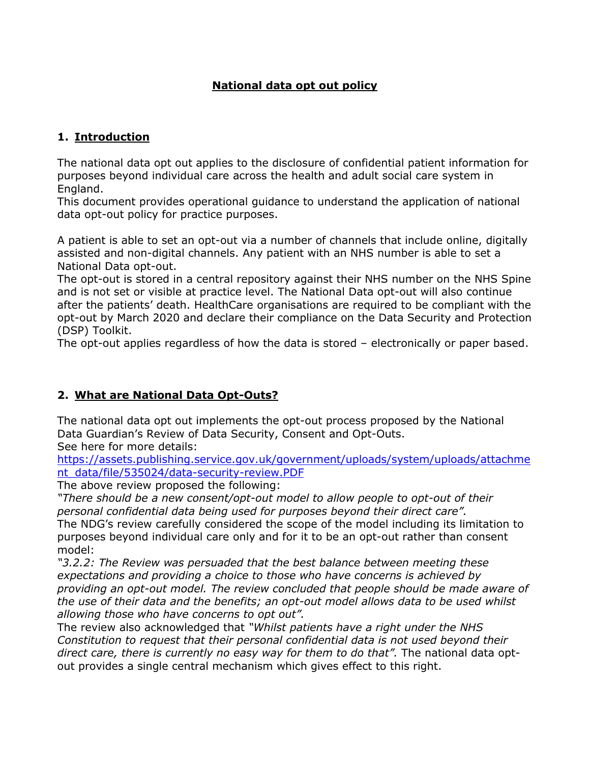## **National data opt out policy**

### **1. Introduction**

The national data opt out applies to the disclosure of confidential patient information for purposes beyond individual care across the health and adult social care system in England.

This document provides operational guidance to understand the application of national data opt-out policy for practice purposes.

A patient is able to set an opt-out via a number of channels that include online, digitally assisted and non-digital channels. Any patient with an NHS number is able to set a National Data opt-out.

The opt-out is stored in a central repository against their NHS number on the NHS Spine and is not set or visible at practice level. The National Data opt-out will also continue after the patients' death. HealthCare organisations are required to be compliant with the opt-out by March 2020 and declare their compliance on the Data Security and Protection (DSP) Toolkit.

The opt-out applies regardless of how the data is stored – electronically or paper based.

### **2. What are National Data Opt-Outs?**

The national data opt out implements the opt-out process proposed by the National Data Guardian's Review of Data Security, Consent and Opt-Outs. See here for more details:

[https://assets.publishing.service.gov.uk/government/uploads/system/uploads/attachme](https://assets.publishing.service.gov.uk/government/uploads/system/uploads/attachment_data/file/535024/data-security-review.PDF) [nt\\_data/file/535024/data-security-review.PDF](https://assets.publishing.service.gov.uk/government/uploads/system/uploads/attachment_data/file/535024/data-security-review.PDF)

The above review proposed the following:

*"There should be a new consent/opt-out model to allow people to opt-out of their personal confidential data being used for purposes beyond their direct care".* The NDG's review carefully considered the scope of the model including its limitation to purposes beyond individual care only and for it to be an opt-out rather than consent model:

*"3.2.2: The Review was persuaded that the best balance between meeting these expectations and providing a choice to those who have concerns is achieved by providing an opt-out model. The review concluded that people should be made aware of the use of their data and the benefits; an opt-out model allows data to be used whilst allowing those who have concerns to opt out".*

The review also acknowledged that *"Whilst patients have a right under the NHS Constitution to request that their personal confidential data is not used beyond their*  direct care, there is currently no easy way for them to do that". The national data optout provides a single central mechanism which gives effect to this right.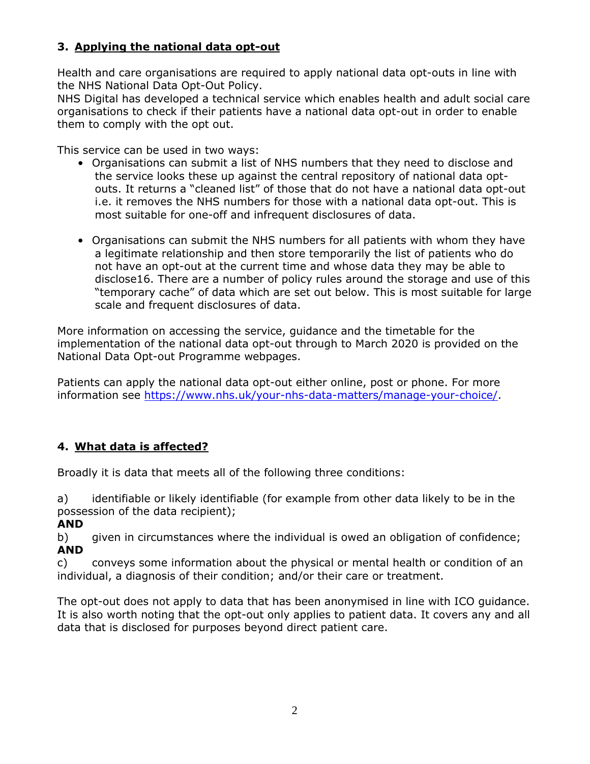# **3. Applying the national data opt-out**

Health and care organisations are required to apply national data opt-outs in line with the NHS National Data Opt-Out Policy.

NHS Digital has developed a technical service which enables health and adult social care organisations to check if their patients have a national data opt-out in order to enable them to comply with the opt out.

This service can be used in two ways:

- Organisations can submit a list of NHS numbers that they need to disclose and the service looks these up against the central repository of national data optouts. It returns a "cleaned list" of those that do not have a national data opt-out i.e. it removes the NHS numbers for those with a national data opt-out. This is most suitable for one-off and infrequent disclosures of data.
- Organisations can submit the NHS numbers for all patients with whom they have a legitimate relationship and then store temporarily the list of patients who do not have an opt-out at the current time and whose data they may be able to disclose16. There are a number of policy rules around the storage and use of this "temporary cache" of data which are set out below. This is most suitable for large scale and frequent disclosures of data.

More information on accessing the service, guidance and the timetable for the implementation of the national data opt-out through to March 2020 is provided on the National Data Opt-out Programme webpages.

Patients can apply the national data opt-out either online, post or phone. For more information see [https://www.nhs.uk/your-nhs-data-matters/manage-your-choice/.](https://www.nhs.uk/your-nhs-data-matters/manage-your-choice/)

# **4. What data is affected?**

Broadly it is data that meets all of the following three conditions:

a) identifiable or likely identifiable (for example from other data likely to be in the possession of the data recipient);

**AND**

b) given in circumstances where the individual is owed an obligation of confidence; **AND**

c) conveys some information about the physical or mental health or condition of an individual, a diagnosis of their condition; and/or their care or treatment.

The opt-out does not apply to data that has been anonymised in line with ICO guidance. It is also worth noting that the opt-out only applies to patient data. It covers any and all data that is disclosed for purposes beyond direct patient care.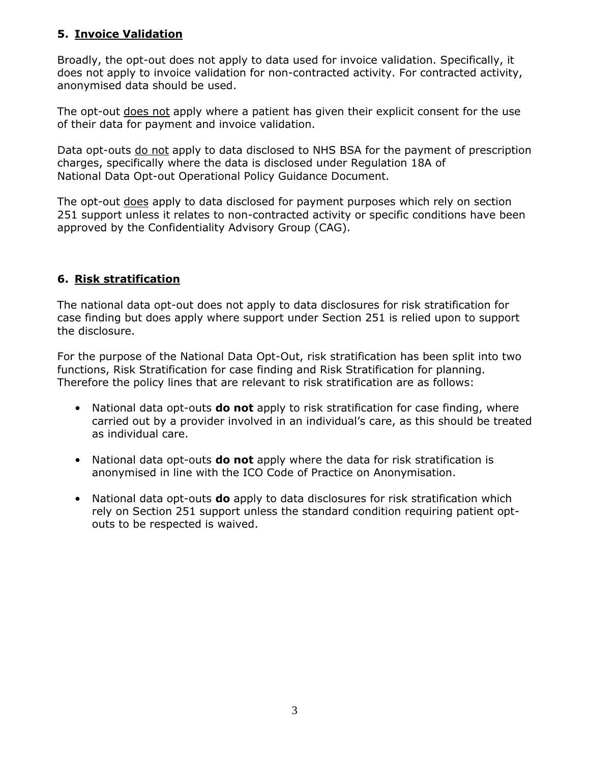## **5. Invoice Validation**

Broadly, the opt-out does not apply to data used for invoice validation. Specifically, it does not apply to invoice validation for non-contracted activity. For contracted activity, anonymised data should be used.

The opt-out does not apply where a patient has given their explicit consent for the use of their data for payment and invoice validation.

Data opt-outs do not apply to data disclosed to NHS BSA for the payment of prescription charges, specifically where the data is disclosed under Regulation 18A of National Data Opt-out Operational Policy Guidance Document.

The opt-out does apply to data disclosed for payment purposes which rely on section 251 support unless it relates to non-contracted activity or specific conditions have been approved by the Confidentiality Advisory Group (CAG).

### **6. Risk stratification**

The national data opt-out does not apply to data disclosures for risk stratification for case finding but does apply where support under Section 251 is relied upon to support the disclosure.

For the purpose of the National Data Opt-Out, risk stratification has been split into two functions, Risk Stratification for case finding and Risk Stratification for planning. Therefore the policy lines that are relevant to risk stratification are as follows:

- National data opt-outs **do not** apply to risk stratification for case finding, where carried out by a provider involved in an individual's care, as this should be treated as individual care.
- National data opt-outs **do not** apply where the data for risk stratification is anonymised in line with the ICO Code of Practice on Anonymisation.
- National data opt-outs **do** apply to data disclosures for risk stratification which rely on Section 251 support unless the standard condition requiring patient optouts to be respected is waived.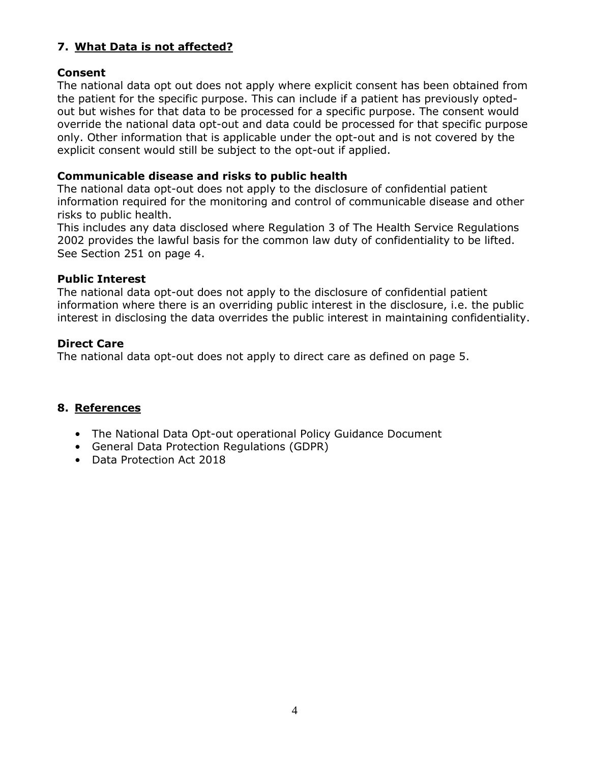# **7. What Data is not affected?**

#### **Consent**

The national data opt out does not apply where explicit consent has been obtained from the patient for the specific purpose. This can include if a patient has previously optedout but wishes for that data to be processed for a specific purpose. The consent would override the national data opt-out and data could be processed for that specific purpose only. Other information that is applicable under the opt-out and is not covered by the explicit consent would still be subject to the opt-out if applied.

#### **Communicable disease and risks to public health**

The national data opt-out does not apply to the disclosure of confidential patient information required for the monitoring and control of communicable disease and other risks to public health.

This includes any data disclosed where Regulation 3 of The Health Service Regulations 2002 provides the lawful basis for the common law duty of confidentiality to be lifted. See Section 251 on page 4.

#### **Public Interest**

The national data opt-out does not apply to the disclosure of confidential patient information where there is an overriding public interest in the disclosure, i.e. the public interest in disclosing the data overrides the public interest in maintaining confidentiality.

#### **Direct Care**

The national data opt-out does not apply to direct care as defined on page 5.

#### **8. References**

- The National Data Opt-out operational Policy Guidance Document
- General Data Protection Regulations (GDPR)
- Data Protection Act 2018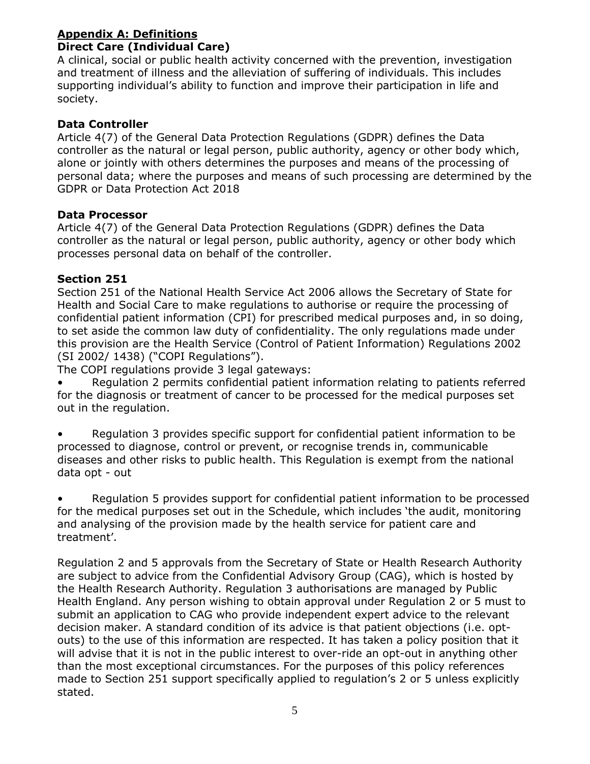#### **Appendix A: Definitions Direct Care (Individual Care)**

A clinical, social or public health activity concerned with the prevention, investigation and treatment of illness and the alleviation of suffering of individuals. This includes supporting individual's ability to function and improve their participation in life and society.

### **Data Controller**

Article 4(7) of the General Data Protection Regulations (GDPR) defines the Data controller as the natural or legal person, public authority, agency or other body which, alone or jointly with others determines the purposes and means of the processing of personal data; where the purposes and means of such processing are determined by the GDPR or Data Protection Act 2018

### **Data Processor**

Article 4(7) of the General Data Protection Regulations (GDPR) defines the Data controller as the natural or legal person, public authority, agency or other body which processes personal data on behalf of the controller.

### **Section 251**

Section 251 of the National Health Service Act 2006 allows the Secretary of State for Health and Social Care to make regulations to authorise or require the processing of confidential patient information (CPI) for prescribed medical purposes and, in so doing, to set aside the common law duty of confidentiality. The only regulations made under this provision are the Health Service (Control of Patient Information) Regulations 2002 (SI 2002/ 1438) ("COPI Regulations").

The COPI regulations provide 3 legal gateways:

Regulation 2 permits confidential patient information relating to patients referred for the diagnosis or treatment of cancer to be processed for the medical purposes set out in the regulation.

• Regulation 3 provides specific support for confidential patient information to be processed to diagnose, control or prevent, or recognise trends in, communicable diseases and other risks to public health. This Regulation is exempt from the national data opt - out

• Regulation 5 provides support for confidential patient information to be processed for the medical purposes set out in the Schedule, which includes 'the audit, monitoring and analysing of the provision made by the health service for patient care and treatment'.

Regulation 2 and 5 approvals from the Secretary of State or Health Research Authority are subject to advice from the Confidential Advisory Group (CAG), which is hosted by the Health Research Authority. Regulation 3 authorisations are managed by Public Health England. Any person wishing to obtain approval under Regulation 2 or 5 must to submit an application to CAG who provide independent expert advice to the relevant decision maker. A standard condition of its advice is that patient objections (i.e. optouts) to the use of this information are respected. It has taken a policy position that it will advise that it is not in the public interest to over-ride an opt-out in anything other than the most exceptional circumstances. For the purposes of this policy references made to Section 251 support specifically applied to regulation's 2 or 5 unless explicitly stated.